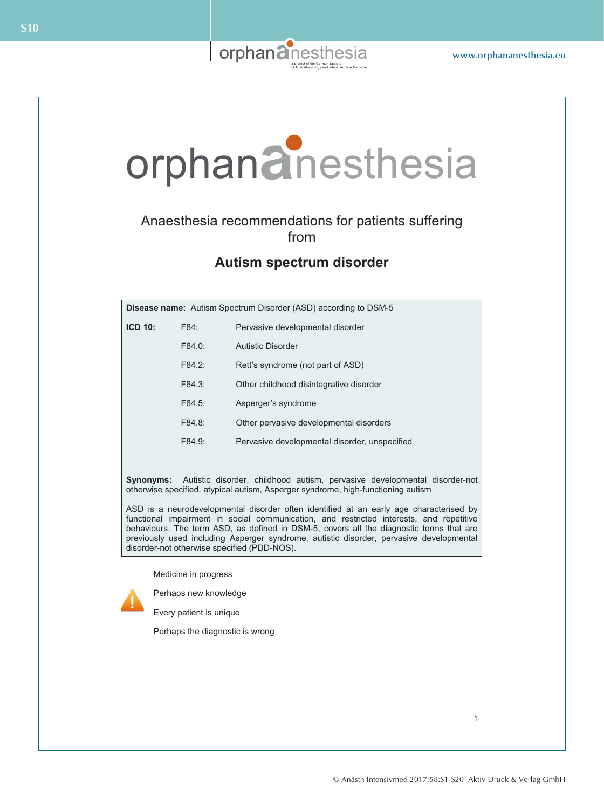

# orphan**a**nesthesia orphan**a**nesthesia

## Anaesthesia recommendations for patients suffering from Anaesthesia recommendations for patients suffering from

## **Autism spectrum disorder 3-M syndrome**

| <b>Disease name:</b> Autism Spectrum Disorder (ASD) according to DSM-5 |        |                                               |
|------------------------------------------------------------------------|--------|-----------------------------------------------|
| <b>ICD 10:</b>                                                         | F84:   | Pervasive developmental disorder              |
|                                                                        | F84.0: | Autistic Disorder                             |
|                                                                        | F84.2: | Rett's syndrome (not part of ASD)             |
|                                                                        | F84.3: | Other childhood disintegrative disorder       |
|                                                                        | F84.5: | Asperger's syndrome                           |
|                                                                        | F84.8: | Other pervasive developmental disorders       |
|                                                                        | F84.9: | Pervasive developmental disorder, unspecified |
|                                                                        |        |                                               |
|                                                                        |        |                                               |

Synonyms: Autistic disorder, childhood autism, pervasive developmental disorder-not otherwise specified, atypical autism, Asperger syndrome, high-functioning autism **Synonyms:** Autistic disorder, childhood autism, pervasive developmental disorder-not

ASD is a neurodevelopmental disorder often identified at an early age characterised by functional impairment in social communication, and restricted interests, and repetitive behaviours. The term ASD, as defined in DSM-5, covers all the diagnostic terms that are previously used including Asperger syndrome, autistic disorder, pervasive developmental disorder-not otherwise specified (PDD-NOS).

Medicine in progress Medicine in progress



Perhaps new knowledge Every patient is unique

Perhaps the diagnostic is wrong

1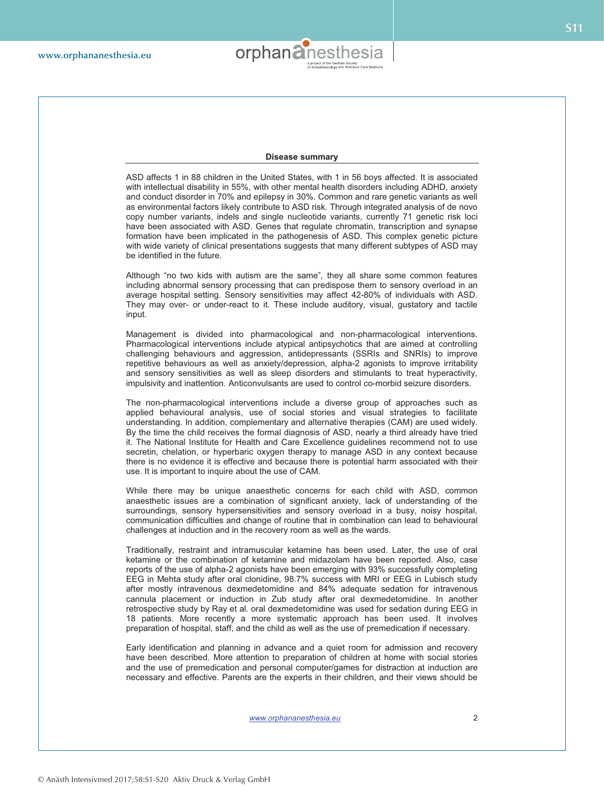

#### **Disease summary**

ASD affects 1 in 88 children in the United States, with 1 in 56 boys affected. It is associated with intellectual disability in 55%, with other mental health disorders including ADHD, anxiety and conduct disorder in 70% and epilepsy in 30%. Common and rare genetic variants as well as environmental factors likely contribute to ASD risk. Through integrated analysis of de novo copy number variants, indels and single nucleotide variants, currently 71 genetic risk loci have been associated with ASD. Genes that regulate chromatin, transcription and synapse formation have been implicated in the pathogenesis of ASD. This complex genetic picture with wide variety of clinical presentations suggests that many different subtypes of ASD may be identified in the future.

Although "no two kids with autism are the same", they all share some common features including abnormal sensory processing that can predispose them to sensory overload in an average hospital setting. Sensory sensitivities may affect 42-80% of individuals with ASD. They may over- or under-react to it. These include auditory, visual, gustatory and tactile input.

Management is divided into pharmacological and non-pharmacological interventions. Pharmacological interventions include atypical antipsychotics that are aimed at controlling challenging behaviours and aggression, antidepressants (SSRIs and SNRIs) to improve repetitive behaviours as well as anxiety/depression, alpha-2 agonists to improve irritability and sensory sensitivities as well as sleep disorders and stimulants to treat hyperactivity, impulsivity and inattention. Anticonvulsants are used to control co-morbid seizure disorders.

The non-pharmacological interventions include a diverse group of approaches such as applied behavioural analysis, use of social stories and visual strategies to facilitate understanding. In addition, complementary and alternative therapies (CAM) are used widely. By the time the child receives the formal diagnosis of ASD, nearly a third already have tried it. The National Institute for Health and Care Excellence guidelines recommend not to use secretin, chelation, or hyperbaric oxygen therapy to manage ASD in any context because there is no evidence it is effective and because there is potential harm associated with their use. It is important to inquire about the use of CAM.

While there may be unique anaesthetic concerns for each child with ASD, common anaesthetic issues are a combination of significant anxiety, lack of understanding of the surroundings, sensory hypersensitivities and sensory overload in a busy, noisy hospital, communication difficulties and change of routine that in combination can lead to behavioural challenges at induction and in the recovery room as well as the wards.

Traditionally, restraint and intramuscular ketamine has been used. Later, the use of oral ketamine or the combination of ketamine and midazolam have been reported. Also, case reports of the use of alpha-2 agonists have been emerging with 93% successfully completing EEG in Mehta study after oral clonidine, 98.7% success with MRI or EEG in Lubisch study after mostly intravenous dexmedetomidine and 84% adequate sedation for intravenous cannula placement or induction in Zub study after oral dexmedetomidine. In another retrospective study by Ray et al. oral dexmedetomidine was used for sedation during EEG in 18 patients. More recently a more systematic approach has been used. It involves preparation of hospital, staff, and the child as well as the use of premedication if necessary.

Early identification and planning in advance and a quiet room for admission and recovery have been described. More attention to preparation of children at home with social stories and the use of premedication and personal computer/games for distraction at induction are necessary and effective. Parents are the experts in their children, and their views should be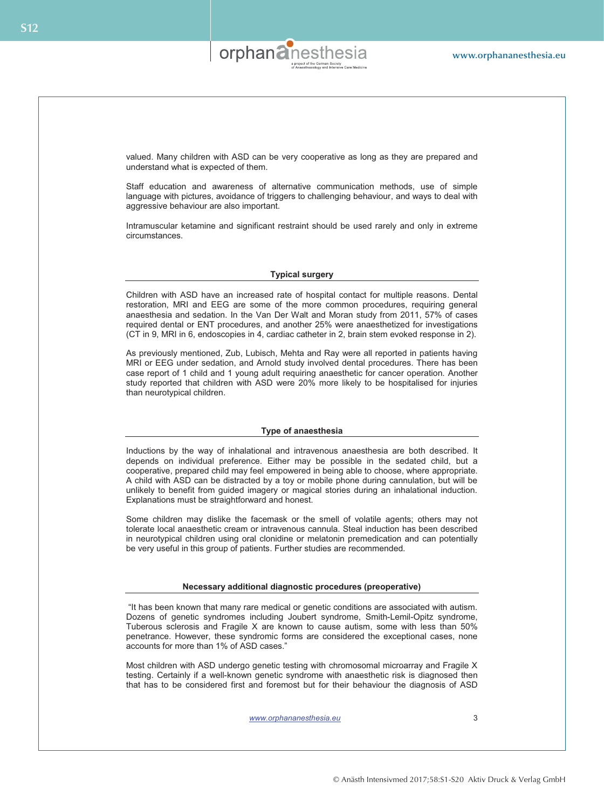

valued. Many children with ASD can be very cooperative as long as they are prepared and understand what is expected of them.

Staff education and awareness of alternative communication methods, use of simple language with pictures, avoidance of triggers to challenging behaviour, and ways to deal with aggressive behaviour are also important.

Intramuscular ketamine and significant restraint should be used rarely and only in extreme circumstances.

## **Typical surgery**

Children with ASD have an increased rate of hospital contact for multiple reasons. Dental restoration, MRI and EEG are some of the more common procedures, requiring general anaesthesia and sedation. In the Van Der Walt and Moran study from 2011, 57% of cases required dental or ENT procedures, and another 25% were anaesthetized for investigations (CT in 9, MRI in 6, endoscopies in 4, cardiac catheter in 2, brain stem evoked response in 2).

As previously mentioned, Zub, Lubisch, Mehta and Ray were all reported in patients having MRI or EEG under sedation, and Arnold study involved dental procedures. There has been case report of 1 child and 1 young adult requiring anaesthetic for cancer operation. Another study reported that children with ASD were 20% more likely to be hospitalised for injuries than neurotypical children.

## **Type of anaesthesia**

Inductions by the way of inhalational and intravenous anaesthesia are both described. It depends on individual preference. Either may be possible in the sedated child, but a cooperative, prepared child may feel empowered in being able to choose, where appropriate. A child with ASD can be distracted by a toy or mobile phone during cannulation, but will be unlikely to benefit from guided imagery or magical stories during an inhalational induction. Explanations must be straightforward and honest.

Some children may dislike the facemask or the smell of volatile agents; others may not tolerate local anaesthetic cream or intravenous cannula. Steal induction has been described in neurotypical children using oral clonidine or melatonin premedication and can potentially be very useful in this group of patients. Further studies are recommended.

#### **Necessary additional diagnostic procedures (preoperative)**

 "It has been known that many rare medical or genetic conditions are associated with autism. Dozens of genetic syndromes including Joubert syndrome, Smith-Lemil-Opitz syndrome, Tuberous sclerosis and Fragile X are known to cause autism, some with less than 50% penetrance. However, these syndromic forms are considered the exceptional cases, none accounts for more than 1% of ASD cases."

Most children with ASD undergo genetic testing with chromosomal microarray and Fragile X testing. Certainly if a well-known genetic syndrome with anaesthetic risk is diagnosed then that has to be considered first and foremost but for their behaviour the diagnosis of ASD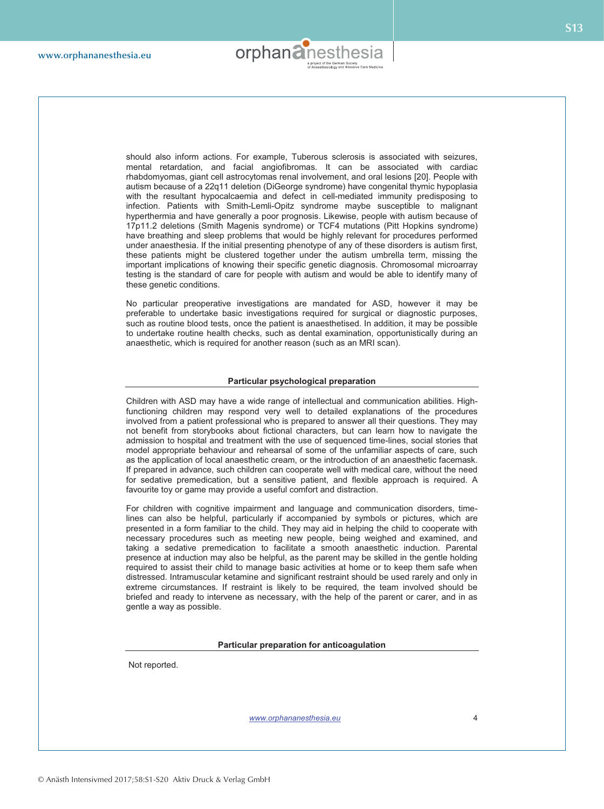

**S13**

should also inform actions. For example, Tuberous sclerosis is associated with seizures, mental retardation, and facial angiofibromas. It can be associated with cardiac rhabdomyomas, giant cell astrocytomas renal involvement, and oral lesions [20]. People with autism because of a 22q11 deletion (DiGeorge syndrome) have congenital thymic hypoplasia with the resultant hypocalcaemia and defect in cell-mediated immunity predisposing to infection. Patients with Smith-Lemli-Opitz syndrome maybe susceptible to malignant hyperthermia and have generally a poor prognosis. Likewise, people with autism because of 17p11.2 deletions (Smith Magenis syndrome) or TCF4 mutations (Pitt Hopkins syndrome) have breathing and sleep problems that would be highly relevant for procedures performed under anaesthesia. If the initial presenting phenotype of any of these disorders is autism first, these patients might be clustered together under the autism umbrella term, missing the important implications of knowing their specific genetic diagnosis. Chromosomal microarray testing is the standard of care for people with autism and would be able to identify many of these genetic conditions.

No particular preoperative investigations are mandated for ASD, however it may be preferable to undertake basic investigations required for surgical or diagnostic purposes, such as routine blood tests, once the patient is anaesthetised. In addition, it may be possible to undertake routine health checks, such as dental examination, opportunistically during an anaesthetic, which is required for another reason (such as an MRI scan).

#### **Particular psychological preparation**

Children with ASD may have a wide range of intellectual and communication abilities. Highfunctioning children may respond very well to detailed explanations of the procedures involved from a patient professional who is prepared to answer all their questions. They may not benefit from storybooks about fictional characters, but can learn how to navigate the admission to hospital and treatment with the use of sequenced time-lines, social stories that model appropriate behaviour and rehearsal of some of the unfamiliar aspects of care, such as the application of local anaesthetic cream, or the introduction of an anaesthetic facemask. If prepared in advance, such children can cooperate well with medical care, without the need for sedative premedication, but a sensitive patient, and flexible approach is required. A favourite toy or game may provide a useful comfort and distraction.

For children with cognitive impairment and language and communication disorders, timelines can also be helpful, particularly if accompanied by symbols or pictures, which are presented in a form familiar to the child. They may aid in helping the child to cooperate with necessary procedures such as meeting new people, being weighed and examined, and taking a sedative premedication to facilitate a smooth anaesthetic induction. Parental presence at induction may also be helpful, as the parent may be skilled in the gentle holding required to assist their child to manage basic activities at home or to keep them safe when distressed. Intramuscular ketamine and significant restraint should be used rarely and only in extreme circumstances. If restraint is likely to be required, the team involved should be briefed and ready to intervene as necessary, with the help of the parent or carer, and in as gentle a way as possible.

#### **Particular preparation for anticoagulation**

Not reported.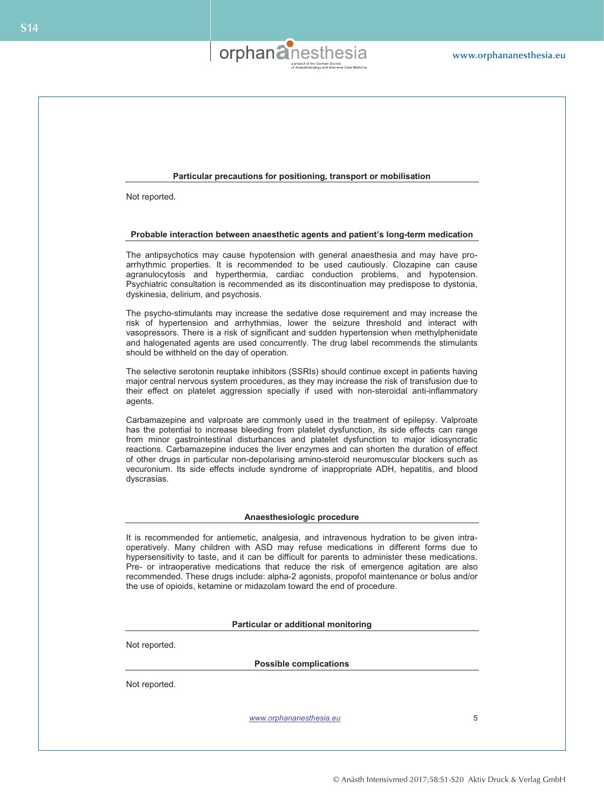

## **Particular precautions for positioning, transport or mobilisation**

Not reported.

## **Probable interaction between anaesthetic agents and patient's long-term medication**

The antipsychotics may cause hypotension with general anaesthesia and may have proarrhythmic properties. It is recommended to be used cautiously. Clozapine can cause agranulocytosis and hyperthermia, cardiac conduction problems, and hypotension. Psychiatric consultation is recommended as its discontinuation may predispose to dystonia, dyskinesia, delirium, and psychosis.

The psycho-stimulants may increase the sedative dose requirement and may increase the risk of hypertension and arrhythmias, lower the seizure threshold and interact with vasopressors. There is a risk of significant and sudden hypertension when methylphenidate and halogenated agents are used concurrently. The drug label recommends the stimulants should be withheld on the day of operation.

The selective serotonin reuptake inhibitors (SSRIs) should continue except in patients having major central nervous system procedures, as they may increase the risk of transfusion due to their effect on platelet aggression specially if used with non-steroidal anti-inflammatory agents.

Carbamazepine and valproate are commonly used in the treatment of epilepsy. Valproate has the potential to increase bleeding from platelet dysfunction, its side effects can range from minor gastrointestinal disturbances and platelet dysfunction to major idiosyncratic reactions. Carbamazepine induces the liver enzymes and can shorten the duration of effect of other drugs in particular non-depolarising amino-steroid neuromuscular blockers such as vecuronium. Its side effects include syndrome of inappropriate ADH, hepatitis, and blood dyscrasias.

#### **Anaesthesiologic procedure**

It is recommended for antiemetic, analgesia, and intravenous hydration to be given intraoperatively. Many children with ASD may refuse medications in different forms due to hypersensitivity to taste, and it can be difficult for parents to administer these medications. Pre- or intraoperative medications that reduce the risk of emergence agitation are also recommended. These drugs include: alpha-2 agonists, propofol maintenance or bolus and/or the use of opioids, ketamine or midazolam toward the end of procedure.

**Particular or additional monitoring** 

Not reported.

**Possible complications** 

Not reported.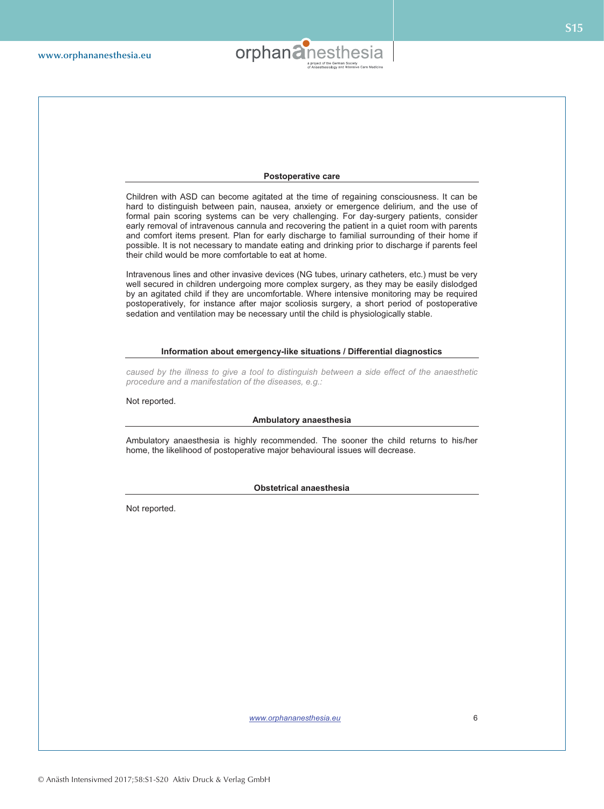

## **Postoperative care**

Children with ASD can become agitated at the time of regaining consciousness. It can be hard to distinguish between pain, nausea, anxiety or emergence delirium, and the use of formal pain scoring systems can be very challenging. For day-surgery patients, consider early removal of intravenous cannula and recovering the patient in a quiet room with parents and comfort items present. Plan for early discharge to familial surrounding of their home if possible. It is not necessary to mandate eating and drinking prior to discharge if parents feel their child would be more comfortable to eat at home.

Intravenous lines and other invasive devices (NG tubes, urinary catheters, etc.) must be very well secured in children undergoing more complex surgery, as they may be easily dislodged by an agitated child if they are uncomfortable. Where intensive monitoring may be required postoperatively, for instance after major scoliosis surgery, a short period of postoperative sedation and ventilation may be necessary until the child is physiologically stable.

## **Information about emergency-like situations / Differential diagnostics**

*caused by the illness to give a tool to distinguish between a side effect of the anaesthetic procedure and a manifestation of the diseases, e.g.:* 

Not reported.

## **Ambulatory anaesthesia**

Ambulatory anaesthesia is highly recommended. The sooner the child returns to his/her home, the likelihood of postoperative major behavioural issues will decrease.

**Obstetrical anaesthesia** 

Not reported.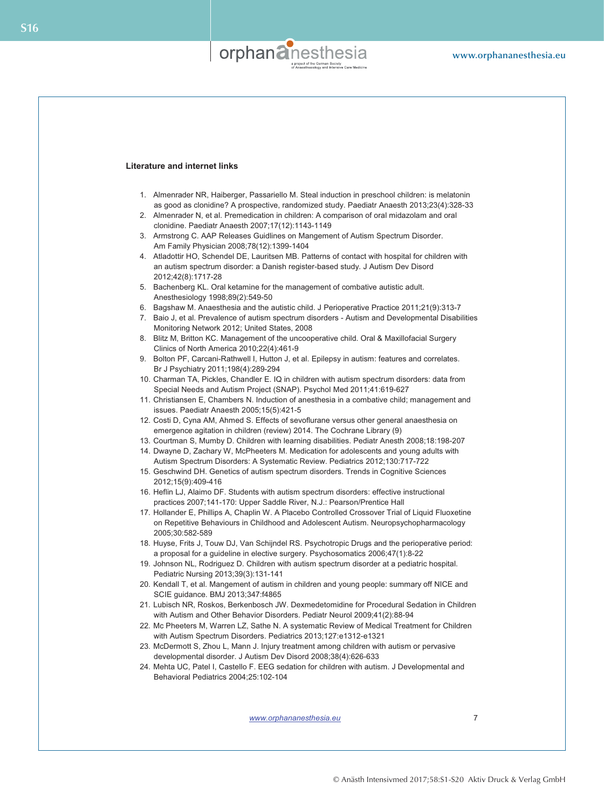

## **Literature and internet links**

- 1. Almenrader NR, Haiberger, Passariello M. Steal induction in preschool children: is melatonin as good as clonidine? A prospective, randomized study. Paediatr Anaesth 2013;23(4):328-33
- 2. Almenrader N, et al. Premedication in children: A comparison of oral midazolam and oral clonidine. Paediatr Anaesth 2007;17(12):1143-1149
- 3. Armstrong C. AAP Releases Guidlines on Mangement of Autism Spectrum Disorder. Am Family Physician 2008;78(12):1399-1404
- 4. Atladottir HO, Schendel DE, Lauritsen MB. Patterns of contact with hospital for children with an autism spectrum disorder: a Danish register-based study. J Autism Dev Disord 2012;42(8):1717-28
- 5. Bachenberg KL. Oral ketamine for the management of combative autistic adult. Anesthesiology 1998;89(2):549-50
- 6. Bagshaw M. Anaesthesia and the autistic child. J Perioperative Practice 2011;21(9):313-7
- 7. Baio J, et al. Prevalence of autism spectrum disorders Autism and Developmental Disabilities Monitoring Network 2012; United States, 2008
- 8. Blitz M, Britton KC. Management of the uncooperative child. Oral & Maxillofacial Surgery Clinics of North America 2010;22(4):461-9
- 9. Bolton PF, Carcani-Rathwell I, Hutton J, et al. Epilepsy in autism: features and correlates. Br J Psychiatry 2011;198(4):289-294
- 10. Charman TA, Pickles, Chandler E. IQ in children with autism spectrum disorders: data from Special Needs and Autism Project (SNAP). Psychol Med 2011;41:619-627
- 11. Christiansen E, Chambers N. Induction of anesthesia in a combative child; management and issues. Paediatr Anaesth 2005;15(5):421-5
- 12. Costi D, Cyna AM, Ahmed S. Effects of sevoflurane versus other general anaesthesia on emergence agitation in children (review) 2014. The Cochrane Library (9)
- 13. Courtman S, Mumby D. Children with learning disabilities. Pediatr Anesth 2008;18:198-207
- 14. Dwayne D, Zachary W, McPheeters M. Medication for adolescents and young adults with Autism Spectrum Disorders: A Systematic Review. Pediatrics 2012;130:717-722
- 15. Geschwind DH. Genetics of autism spectrum disorders. Trends in Cognitive Sciences 2012;15(9):409-416
- 16. Heflin LJ, Alaimo DF. Students with autism spectrum disorders: effective instructional practices 2007;141-170: Upper Saddle River, N.J.: Pearson/Prentice Hall
- 17. Hollander E, Phillips A, Chaplin W. A Placebo Controlled Crossover Trial of Liquid Fluoxetine on Repetitive Behaviours in Childhood and Adolescent Autism. Neuropsychopharmacology 2005;30:582-589
- 18. Huyse, Frits J, Touw DJ, Van Schijndel RS. Psychotropic Drugs and the perioperative period: a proposal for a guideline in elective surgery. Psychosomatics 2006;47(1):8-22
- 19. Johnson NL, Rodriguez D. Children with autism spectrum disorder at a pediatric hospital. Pediatric Nursing 2013;39(3):131-141
- 20. Kendall T, et al. Mangement of autism in children and young people: summary off NICE and SCIE guidance. BMJ 2013;347:f4865
- 21. Lubisch NR, Roskos, Berkenbosch JW. Dexmedetomidine for Procedural Sedation in Children with Autism and Other Behavior Disorders. Pediatr Neurol 2009;41(2):88-94
- 22. Mc Pheeters M, Warren LZ, Sathe N. A systematic Review of Medical Treatment for Children with Autism Spectrum Disorders. Pediatrics 2013;127:e1312-e1321
- 23. McDermott S, Zhou L, Mann J. Injury treatment among children with autism or pervasive developmental disorder. J Autism Dev Disord 2008;38(4):626-633
- 24. Mehta UC, Patel I, Castello F. EEG sedation for children with autism. J Developmental and Behavioral Pediatrics 2004;25:102-104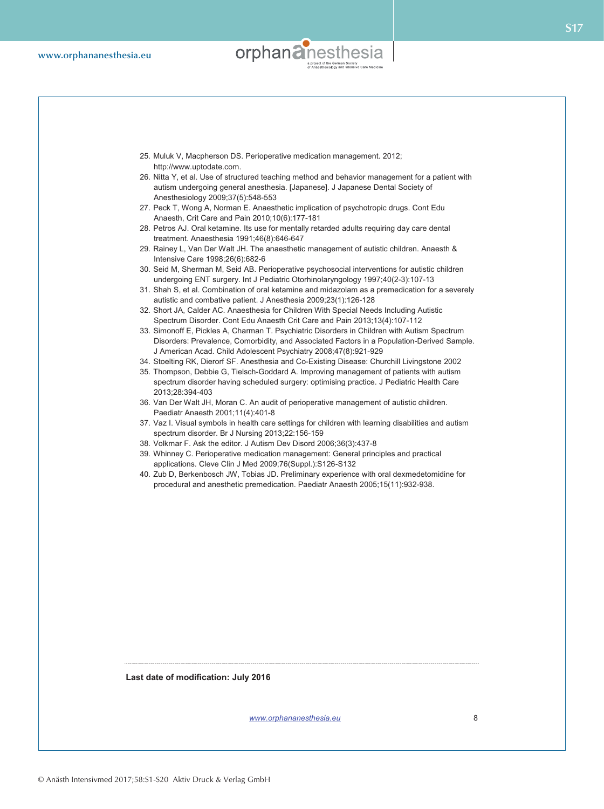

- 25. Muluk V, Macpherson DS. Perioperative medication management. 2012; http://www.uptodate.com.
- 26. Nitta Y, et al. Use of structured teaching method and behavior management for a patient with autism undergoing general anesthesia. [Japanese]. J Japanese Dental Society of Anesthesiology 2009;37(5):548-553
- 27. Peck T, Wong A, Norman E. Anaesthetic implication of psychotropic drugs. Cont Edu Anaesth, Crit Care and Pain 2010;10(6):177-181
- 28. Petros AJ. Oral ketamine. Its use for mentally retarded adults requiring day care dental treatment. Anaesthesia 1991;46(8):646-647
- 29. Rainey L, Van Der Walt JH. The anaesthetic management of autistic children. Anaesth & Intensive Care 1998;26(6):682-6
- 30. Seid M, Sherman M, Seid AB. Perioperative psychosocial interventions for autistic children undergoing ENT surgery. Int J Pediatric Otorhinolaryngology 1997;40(2-3):107-13
- 31. Shah S, et al. Combination of oral ketamine and midazolam as a premedication for a severely autistic and combative patient. J Anesthesia 2009;23(1):126-128
- 32. Short JA, Calder AC. Anaesthesia for Children With Special Needs Including Autistic Spectrum Disorder. Cont Edu Anaesth Crit Care and Pain 2013;13(4):107-112
- 33. Simonoff E, Pickles A, Charman T. Psychiatric Disorders in Children with Autism Spectrum Disorders: Prevalence, Comorbidity, and Associated Factors in a Population-Derived Sample. J American Acad. Child Adolescent Psychiatry 2008;47(8):921-929
- 34. Stoelting RK, Dierorf SF. Anesthesia and Co-Existing Disease: Churchill Livingstone 2002
- 35. Thompson, Debbie G, Tielsch-Goddard A. Improving management of patients with autism spectrum disorder having scheduled surgery: optimising practice. J Pediatric Health Care 2013;28:394-403
- 36. Van Der Walt JH, Moran C. An audit of perioperative management of autistic children. Paediatr Anaesth 2001;11(4):401-8
- 37. Vaz I. Visual symbols in health care settings for children with learning disabilities and autism spectrum disorder. Br J Nursing 2013;22:156-159
- 38. Volkmar F. Ask the editor. J Autism Dev Disord 2006;36(3):437-8
- 39. Whinney C. Perioperative medication management: General principles and practical applications. Cleve Clin J Med 2009;76(Suppl.):S126-S132
- 40. Zub D, Berkenbosch JW, Tobias JD. Preliminary experience with oral dexmedetomidine for procedural and anesthetic premedication. Paediatr Anaesth 2005;15(11):932-938.

**Last date of modification: July 2016**